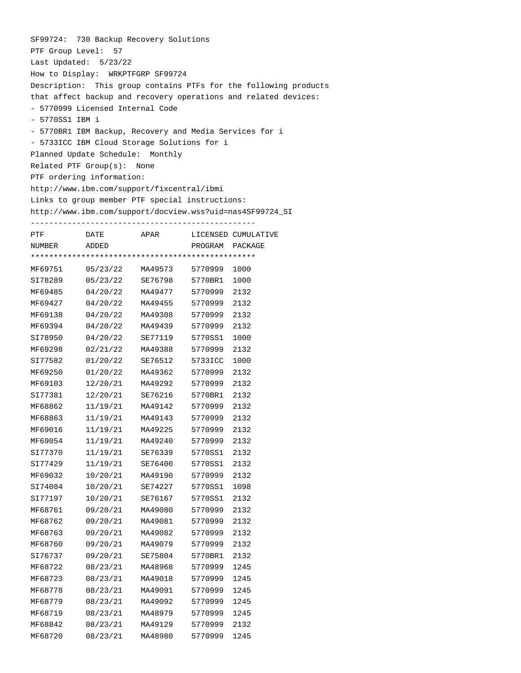|                 | SF99724: 730 Backup Recovery Solutions          |                      |                      |                                                                  |
|-----------------|-------------------------------------------------|----------------------|----------------------|------------------------------------------------------------------|
|                 | PTF Group Level: 57                             |                      |                      |                                                                  |
|                 | Last Updated: $5/23/22$                         |                      |                      |                                                                  |
|                 | How to Display: WRKPTFGRP SF99724               |                      |                      |                                                                  |
|                 |                                                 |                      |                      | Description: This group contains PTFs for the following products |
|                 |                                                 |                      |                      | that affect backup and recovery operations and related devices:  |
|                 | - 5770999 Licensed Internal Code                |                      |                      |                                                                  |
| - 5770SS1 IBM i |                                                 |                      |                      |                                                                  |
|                 |                                                 |                      |                      | - 5770BR1 IBM Backup, Recovery and Media Services for i          |
|                 | - 5733ICC IBM Cloud Storage Solutions for i     |                      |                      |                                                                  |
|                 | Planned Update Schedule: Monthly                |                      |                      |                                                                  |
|                 | Related PTF $Group(s):$                         | None                 |                      |                                                                  |
|                 | PTF ordering information:                       |                      |                      |                                                                  |
|                 |                                                 |                      |                      |                                                                  |
|                 | http://www.ibm.com/support/fixcentral/ibmi      |                      |                      |                                                                  |
|                 | Links to group member PTF special instructions: |                      |                      |                                                                  |
|                 |                                                 |                      |                      | http://www.ibm.com/support/docview.wss?uid=nas4SF99724_SI        |
|                 |                                                 |                      |                      |                                                                  |
| <b>PTF</b>      | DATE                                            |                      |                      | APAR LICENSED CUMULATIVE                                         |
| NUMBER          | ADDED                                           |                      |                      | PROGRAM PACKAGE                                                  |
|                 |                                                 |                      |                      |                                                                  |
|                 |                                                 |                      |                      | 1000                                                             |
| SI78289         | 05/23/22                                        | SE76798 5770BR1 1000 |                      |                                                                  |
|                 | MF69485 04/20/22                                |                      | MA49477 5770999 2132 |                                                                  |
|                 | MF69427 04/20/22                                |                      | MA49455 5770999 2132 |                                                                  |
|                 | MF69138 04/20/22                                |                      | MA49308 5770999      | 2132                                                             |
| MF69394         | 04/20/22                                        | MA49439              | 5770999              | 2132                                                             |
| SI78950         | 04/20/22                                        |                      | SE77119 5770SS1      | 1000                                                             |
|                 | MF69298 02/21/22                                |                      | MA49388 5770999      | 2132                                                             |
| SI77582         | 01/20/22                                        |                      | SE76512 5733ICC      | 1000                                                             |
| MF69250         | 01/20/22                                        | MA49362              | 5770999 2132         |                                                                  |
| MF69103         | 12/20/21                                        |                      | MA49292 5770999 2132 |                                                                  |
|                 | SI77381 12/20/21                                |                      | SE76216 5770BR1      | 2132                                                             |
| MF68862         | 11/19/21                                        |                      | MA49142 5770999      | 2132                                                             |
| MF68863         | 11/19/21                                        | MA49143              | 5770999 2132         |                                                                  |
| MF69016         | 11/19/21                                        | MA49225              | 5770999              | 2132                                                             |
| MF69054         | 11/19/21                                        | MA49240              | 5770999              | 2132                                                             |
| SI77370         | 11/19/21                                        | SE76339              | 5770SS1              | 2132                                                             |
| SI77429         | 11/19/21                                        | SE76400              | 5770SS1              | 2132                                                             |
| MF69032         | 10/20/21                                        | MA49190              | 5770999              | 2132                                                             |
| SI74084         | 10/20/21                                        | SE74227              | 5770SS1              | 1098                                                             |
| SI77197         | 10/20/21                                        | SE76167              | 5770SS1              | 2132                                                             |
| MF68761         | 09/20/21                                        | MA49080              | 5770999              | 2132                                                             |
| MF68762         | 09/20/21                                        | MA49081              | 5770999              | 2132                                                             |
| MF68763         | 09/20/21                                        | MA49082              | 5770999              | 2132                                                             |
| MF68760         | 09/20/21                                        | MA49079              | 5770999              | 2132                                                             |
| SI76737         | 09/20/21                                        | SE75804              | 5770BR1              | 2132                                                             |
|                 |                                                 |                      |                      |                                                                  |
| MF68722         | 08/23/21                                        | MA48968              | 5770999              | 1245                                                             |
| MF68723         | 08/23/21                                        | MA49018              | 5770999              | 1245                                                             |
| MF68778         | 08/23/21                                        | MA49091              | 5770999              | 1245                                                             |
| MF68779         | 08/23/21                                        | MA49092              | 5770999              | 1245                                                             |
| MF68719         | 08/23/21                                        | MA48979              | 5770999              | 1245                                                             |
| MF68842         | 08/23/21                                        | MA49129              | 5770999              | 2132                                                             |
| MF68720         | 08/23/21                                        | MA48980              | 5770999              | 1245                                                             |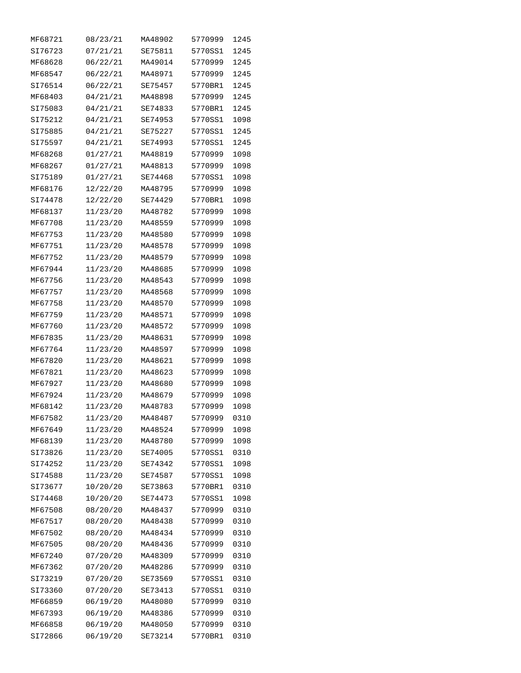| MF68721 | 08/23/21 | MA48902 | 5770999 | 1245 |
|---------|----------|---------|---------|------|
| SI76723 | 07/21/21 | SE75811 | 5770SS1 | 1245 |
| MF68628 | 06/22/21 | MA49014 | 5770999 | 1245 |
| MF68547 | 06/22/21 | MA48971 | 5770999 | 1245 |
| SI76514 | 06/22/21 | SE75457 | 5770BR1 | 1245 |
| MF68403 | 04/21/21 | MA48898 | 5770999 | 1245 |
| SI75083 | 04/21/21 | SE74833 | 5770BR1 | 1245 |
| SI75212 | 04/21/21 | SE74953 | 5770SS1 | 1098 |
| SI75885 | 04/21/21 | SE75227 | 5770SS1 | 1245 |
| SI75597 | 04/21/21 | SE74993 | 5770SS1 | 1245 |
| MF68268 | 01/27/21 | MA48819 | 5770999 | 1098 |
| MF68267 | 01/27/21 | MA48813 | 5770999 | 1098 |
| SI75189 | 01/27/21 | SE74468 | 5770SS1 | 1098 |
| MF68176 | 12/22/20 | MA48795 | 5770999 | 1098 |
| SI74478 | 12/22/20 | SE74429 | 5770BR1 | 1098 |
| MF68137 | 11/23/20 | MA48782 | 5770999 | 1098 |
| MF67708 | 11/23/20 | MA48559 | 5770999 | 1098 |
| MF67753 | 11/23/20 | MA48580 | 5770999 | 1098 |
| MF67751 | 11/23/20 | MA48578 | 5770999 | 1098 |
| MF67752 |          | MA48579 | 5770999 | 1098 |
|         | 11/23/20 | MA48685 |         |      |
| MF67944 | 11/23/20 |         | 5770999 | 1098 |
| MF67756 | 11/23/20 | MA48543 | 5770999 | 1098 |
| MF67757 | 11/23/20 | MA48568 | 5770999 | 1098 |
| MF67758 | 11/23/20 | MA48570 | 5770999 | 1098 |
| MF67759 | 11/23/20 | MA48571 | 5770999 | 1098 |
| MF67760 | 11/23/20 | MA48572 | 5770999 | 1098 |
| MF67835 | 11/23/20 | MA48631 | 5770999 | 1098 |
| MF67764 | 11/23/20 | MA48597 | 5770999 | 1098 |
| MF67820 | 11/23/20 | MA48621 | 5770999 | 1098 |
| MF67821 | 11/23/20 | MA48623 | 5770999 | 1098 |
| MF67927 | 11/23/20 | MA48680 | 5770999 | 1098 |
| MF67924 | 11/23/20 | MA48679 | 5770999 | 1098 |
| MF68142 | 11/23/20 | MA48783 | 5770999 | 1098 |
| MF67582 | 11/23/20 | MA48487 | 5770999 | 0310 |
| MF67649 | 11/23/20 | MA48524 | 5770999 | 1098 |
| MF68139 | 11/23/20 | MA48780 | 5770999 | 1098 |
| SI73826 | 11/23/20 | SE74005 | 5770SS1 | 0310 |
| SI74252 | 11/23/20 | SE74342 | 5770SS1 | 1098 |
| SI74588 | 11/23/20 | SE74587 | 5770SS1 | 1098 |
| SI73677 | 10/20/20 | SE73863 | 5770BR1 | 0310 |
| SI74468 | 10/20/20 | SE74473 | 5770SS1 | 1098 |
| MF67508 | 08/20/20 | MA48437 | 5770999 | 0310 |
| MF67517 | 08/20/20 | MA48438 | 5770999 | 0310 |
| MF67502 | 08/20/20 | MA48434 | 5770999 | 0310 |
| MF67505 | 08/20/20 | MA48436 | 5770999 | 0310 |
| MF67240 | 07/20/20 | MA48309 | 5770999 | 0310 |
| MF67362 | 07/20/20 | MA48286 | 5770999 | 0310 |
| SI73219 | 07/20/20 | SE73569 | 5770SS1 | 0310 |
| SI73360 | 07/20/20 | SE73413 | 5770SS1 | 0310 |
| MF66859 | 06/19/20 | MA48080 | 5770999 | 0310 |
| MF67393 | 06/19/20 | MA48386 | 5770999 | 0310 |
| MF66858 | 06/19/20 | MA48050 | 5770999 | 0310 |
| SI72866 | 06/19/20 | SE73214 | 5770BR1 | 0310 |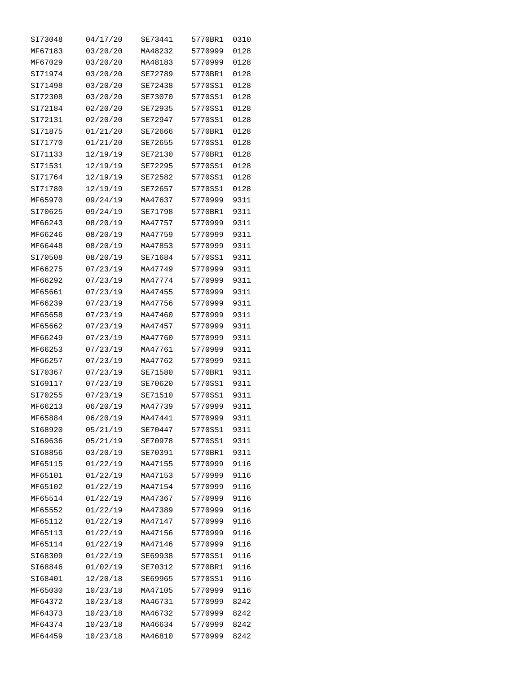| SI73048            | 04/17/20             | SE73441            | 5770BR1 | 0310         |
|--------------------|----------------------|--------------------|---------|--------------|
| MF67183            | 03/20/20             | MA48232            | 5770999 | 0128         |
| MF67029            | 03/20/20             | MA48183            | 5770999 | 0128         |
| SI71974            | 03/20/20             | SE72789            | 5770BR1 | 0128         |
| SI71498            | 03/20/20             | SE72438            | 5770SS1 | 0128         |
| SI72308            | 03/20/20             | SE73070            | 5770SS1 | 0128         |
| SI72184            | 02/20/20             | SE72935            | 5770SS1 | 0128         |
| SI72131            | 02/20/20             | SE72947            | 5770SS1 | 0128         |
| SI71875            | 01/21/20             | SE72666            | 5770BR1 | 0128         |
| SI71770            | 01/21/20             | SE72655            | 5770SS1 | 0128         |
| SI71133            | 12/19/19             | SE72130            | 5770BR1 | 0128         |
| SI71531            | 12/19/19             | SE72295            | 5770SS1 | 0128         |
| SI71764            | 12/19/19             | SE72582            | 5770SS1 | 0128         |
| SI71780            | 12/19/19             | SE72657            | 5770SS1 | 0128         |
| MF65970            | 09/24/19             | MA47637            | 5770999 | 9311         |
| SI70625            | 09/24/19             | SE71798            | 5770BR1 | 9311         |
| MF66243            | 08/20/19             | MA47757            | 5770999 | 9311         |
| MF66246            | 08/20/19             | MA47759            | 5770999 | 9311         |
| MF66448            | 08/20/19             | MA47853            | 5770999 | 9311         |
| SI70508            | 08/20/19             | SE71684            | 5770SS1 | 9311         |
| MF66275            | 07/23/19             | MA47749            | 5770999 | 9311         |
| MF66292            | 07/23/19             | MA47774            | 5770999 | 9311         |
| MF65661            | 07/23/19             | MA47455            | 5770999 | 9311         |
| MF66239            | 07/23/19             | MA47756            | 5770999 | 9311         |
| MF65658            | 07/23/19             | MA47460            | 5770999 | 9311         |
| MF65662            | 07/23/19             | MA47457            | 5770999 | 9311         |
| MF66249            | 07/23/19             | MA47760            | 5770999 | 9311         |
| MF66253            | 07/23/19             | MA47761            | 5770999 | 9311         |
| MF66257            | 07/23/19             | MA47762            | 5770999 | 9311         |
| SI70367            | 07/23/19             | SE71580            | 5770BR1 | 9311         |
| SI69117            | 07/23/19             | SE70620            | 5770SS1 | 9311         |
| SI70255            | 07/23/19             | SE71510            | 5770SS1 | 9311         |
| MF66213            | 06/20/19             | MA47739            | 5770999 | 9311         |
| MF65884            | 06/20/19             | MA47441            | 5770999 | 9311         |
|                    |                      | SE70447            | 5770SS1 |              |
| SI68920<br>SI69636 | 05/21/19<br>05/21/19 | <b>SE70978</b>     | 5770SS1 | 9311         |
|                    |                      |                    |         | 9311<br>9311 |
| SI68856            | 03/20/19<br>01/22/19 | SE70391<br>MA47155 | 5770BR1 | 9116         |
| MF65115            |                      |                    | 5770999 |              |
| MF65101            | 01/22/19             | MA47153            | 5770999 | 9116         |
| MF65102            | 01/22/19             | MA47154            | 5770999 | 9116         |
| MF65514            | 01/22/19             | MA47367            | 5770999 | 9116         |
| MF65552            | 01/22/19             | MA47389            | 5770999 | 9116         |
| MF65112            | 01/22/19             | MA47147            | 5770999 | 9116         |
| MF65113            | 01/22/19             | MA47156            | 5770999 | 9116         |
| MF65114            | 01/22/19             | MA47146            | 5770999 | 9116         |
| SI68309            | 01/22/19             | SE69938            | 5770SS1 | 9116         |
| SI68846            | 01/02/19             | SE70312            | 5770BR1 | 9116         |
| SI68401            | 12/20/18             | SE69965            | 5770SS1 | 9116         |
| MF65030            | 10/23/18             | MA47105            | 5770999 | 9116         |
| MF64372            | 10/23/18             | MA46731            | 5770999 | 8242         |
| MF64373            | 10/23/18             | MA46732            | 5770999 | 8242         |
| MF64374            | 10/23/18             | MA46634            | 5770999 | 8242         |
| MF64459            | 10/23/18             | MA46810            | 5770999 | 8242         |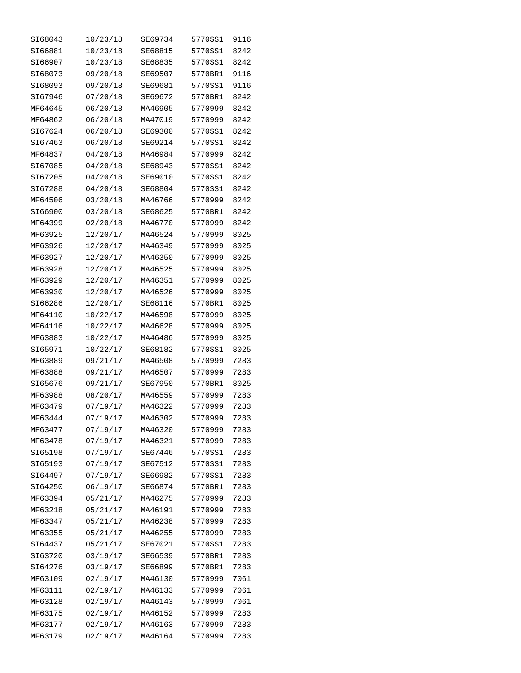| SI68043 | 10/23/18 | SE69734 | 5770SS1 | 9116 |
|---------|----------|---------|---------|------|
| SI66881 | 10/23/18 | SE68815 | 5770SS1 | 8242 |
| SI66907 | 10/23/18 | SE68835 | 5770SS1 | 8242 |
| SI68073 | 09/20/18 | SE69507 | 5770BR1 | 9116 |
| SI68093 | 09/20/18 | SE69681 | 5770SS1 | 9116 |
| SI67946 | 07/20/18 | SE69672 | 5770BR1 | 8242 |
| MF64645 | 06/20/18 | MA46905 | 5770999 | 8242 |
| MF64862 | 06/20/18 | MA47019 | 5770999 | 8242 |
| SI67624 | 06/20/18 | SE69300 | 5770SS1 | 8242 |
| SI67463 | 06/20/18 | SE69214 | 5770SS1 | 8242 |
| MF64837 | 04/20/18 | MA46984 | 5770999 | 8242 |
| SI67085 | 04/20/18 | SE68943 | 5770SS1 | 8242 |
| SI67205 | 04/20/18 | SE69010 | 5770SS1 | 8242 |
| SI67288 | 04/20/18 | SE68804 | 5770SS1 | 8242 |
| MF64506 | 03/20/18 | MA46766 | 5770999 | 8242 |
| SI66900 | 03/20/18 | SE68625 | 5770BR1 | 8242 |
| MF64399 | 02/20/18 | MA46770 | 5770999 | 8242 |
| MF63925 | 12/20/17 | MA46524 | 5770999 | 8025 |
| MF63926 | 12/20/17 | MA46349 | 5770999 | 8025 |
| MF63927 | 12/20/17 | MA46350 | 5770999 | 8025 |
| MF63928 | 12/20/17 | MA46525 | 5770999 | 8025 |
| MF63929 | 12/20/17 | MA46351 | 5770999 | 8025 |
| MF63930 | 12/20/17 | MA46526 | 5770999 | 8025 |
| SI66286 | 12/20/17 | SE68116 | 5770BR1 | 8025 |
| MF64110 | 10/22/17 | MA46598 | 5770999 | 8025 |
| MF64116 | 10/22/17 | MA46628 | 5770999 | 8025 |
| MF63883 | 10/22/17 | MA46486 | 5770999 | 8025 |
| SI65971 | 10/22/17 | SE68182 | 5770SS1 | 8025 |
| MF63889 | 09/21/17 | MA46508 | 5770999 | 7283 |
| MF63888 | 09/21/17 | MA46507 | 5770999 | 7283 |
| SI65676 | 09/21/17 | SE67950 | 5770BR1 | 8025 |
| MF63988 | 08/20/17 | MA46559 | 5770999 | 7283 |
| MF63479 | 07/19/17 | MA46322 | 5770999 | 7283 |
| MF63444 | 07/19/17 | MA46302 | 5770999 | 7283 |
| MF63477 | 07/19/17 | MA46320 | 5770999 | 7283 |
| MF63478 | 07/19/17 | MA46321 | 5770999 | 7283 |
| SI65198 | 07/19/17 | SE67446 | 5770SS1 | 7283 |
| SI65193 | 07/19/17 | SE67512 | 5770SS1 | 7283 |
| SI64497 | 07/19/17 | SE66982 | 5770SS1 | 7283 |
| SI64250 | 06/19/17 | SE66874 | 5770BR1 | 7283 |
| MF63394 | 05/21/17 | MA46275 | 5770999 | 7283 |
| MF63218 | 05/21/17 | MA46191 | 5770999 | 7283 |
| MF63347 | 05/21/17 | MA46238 | 5770999 | 7283 |
| MF63355 | 05/21/17 | MA46255 | 5770999 | 7283 |
| SI64437 | 05/21/17 | SE67021 | 5770SS1 | 7283 |
| SI63720 | 03/19/17 | SE66539 | 5770BR1 | 7283 |
| SI64276 | 03/19/17 | SE66899 | 5770BR1 | 7283 |
| MF63109 | 02/19/17 | MA46130 | 5770999 | 7061 |
| MF63111 | 02/19/17 | MA46133 | 5770999 | 7061 |
| MF63128 | 02/19/17 | MA46143 | 5770999 | 7061 |
| MF63175 | 02/19/17 | MA46152 | 5770999 | 7283 |
| MF63177 | 02/19/17 | MA46163 | 5770999 | 7283 |
| MF63179 | 02/19/17 | MA46164 | 5770999 | 7283 |